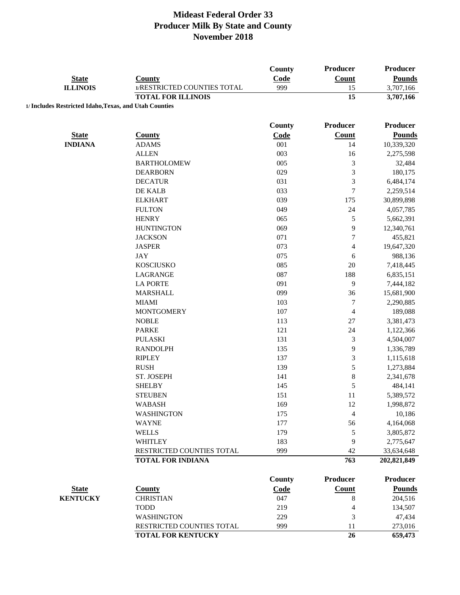| <b>State</b><br><b>ILLINOIS</b>                        | County<br>1/RESTRICTED COUNTIES TOTAL | County<br>Code<br>999 | Producer<br><b>Count</b><br>15 | <b>Producer</b><br><b>Pounds</b><br>3,707,166 |
|--------------------------------------------------------|---------------------------------------|-----------------------|--------------------------------|-----------------------------------------------|
|                                                        | <b>TOTAL FOR ILLINOIS</b>             |                       | 15                             | 3,707,166                                     |
| 1/ Includes Restricted Idaho, Texas, and Utah Counties |                                       |                       |                                |                                               |
|                                                        |                                       |                       |                                |                                               |
|                                                        |                                       | <b>County</b>         | <b>Producer</b>                | Producer                                      |
| <b>State</b>                                           | <b>County</b>                         | Code                  | <b>Count</b>                   | <b>Pounds</b>                                 |
| <b>INDIANA</b>                                         | <b>ADAMS</b>                          | 001                   | 14                             | 10,339,320                                    |
|                                                        | <b>ALLEN</b>                          | 003                   | 16                             | 2,275,598                                     |
|                                                        | <b>BARTHOLOMEW</b>                    | 005                   | $\mathfrak{Z}$                 | 32,484                                        |
|                                                        | <b>DEARBORN</b>                       | 029                   | $\mathfrak{Z}$                 | 180,175                                       |
|                                                        | <b>DECATUR</b>                        | 031                   | $\mathfrak{Z}$                 | 6,484,174                                     |
|                                                        | DE KALB                               | 033                   | $\boldsymbol{7}$               | 2,259,514                                     |
|                                                        | <b>ELKHART</b>                        | 039                   | 175                            | 30,899,898                                    |
|                                                        | <b>FULTON</b>                         | 049                   | 24                             | 4,057,785                                     |
|                                                        | <b>HENRY</b>                          | 065                   | $\sqrt{5}$                     | 5,662,391                                     |
|                                                        | <b>HUNTINGTON</b>                     | 069                   | 9                              | 12,340,761                                    |
|                                                        | <b>JACKSON</b>                        | 071                   | $\tau$                         | 455,821                                       |
|                                                        | <b>JASPER</b>                         | 073                   | 4                              | 19,647,320                                    |
|                                                        | <b>JAY</b>                            | 075                   | 6                              | 988,136                                       |
|                                                        | <b>KOSCIUSKO</b>                      | 085                   | 20                             | 7,418,445                                     |
|                                                        | LAGRANGE                              | 087                   | 188                            | 6,835,151                                     |
|                                                        | <b>LA PORTE</b>                       | 091                   | 9                              | 7,444,182                                     |
|                                                        | <b>MARSHALL</b>                       | 099                   | 36                             | 15,681,900                                    |
|                                                        | <b>MIAMI</b>                          | 103                   | $\tau$                         | 2,290,885                                     |
|                                                        | <b>MONTGOMERY</b>                     | 107                   | $\overline{4}$                 | 189,088                                       |
|                                                        | <b>NOBLE</b>                          | 113                   | 27                             | 3,381,473                                     |
|                                                        | <b>PARKE</b>                          | 121                   | 24                             | 1,122,366                                     |
|                                                        | <b>PULASKI</b>                        | 131                   | $\sqrt{3}$                     | 4,504,007                                     |
|                                                        | <b>RANDOLPH</b>                       | 135                   | 9                              | 1,336,789                                     |
|                                                        | <b>RIPLEY</b>                         | 137                   | $\mathfrak{Z}$                 | 1,115,618                                     |
|                                                        | <b>RUSH</b>                           | 139                   | $\sqrt{5}$                     | 1,273,884                                     |
|                                                        | ST. JOSEPH                            | 141                   | $\,8\,$                        | 2,341,678                                     |
|                                                        | <b>SHELBY</b>                         | 145                   | 5                              | 484,141                                       |
|                                                        | <b>STEUBEN</b>                        | 151                   | 11                             | 5,389,572                                     |
|                                                        | <b>WABASH</b>                         | 169                   | 12                             | 1,998,872                                     |
|                                                        | <b>WASHINGTON</b>                     | 175                   | $\overline{4}$                 | 10,186                                        |
|                                                        | <b>WAYNE</b>                          | 177                   | 56                             | 4,164,068                                     |
|                                                        | <b>WELLS</b>                          | 179                   | 5                              | 3,805,872                                     |
|                                                        | <b>WHITLEY</b>                        | 183                   | 9                              | 2,775,647                                     |
|                                                        | RESTRICTED COUNTIES TOTAL             | 999                   | 42                             | 33,634,648                                    |
|                                                        | <b>TOTAL FOR INDIANA</b>              |                       | 763                            | 202,821,849                                   |
|                                                        |                                       |                       |                                |                                               |
|                                                        |                                       | County                | <b>Producer</b>                | <b>Producer</b>                               |
| <b>State</b>                                           | <b>County</b>                         | Code                  | <b>Count</b>                   | <b>Pounds</b>                                 |
| <b>KENTUCKY</b>                                        | <b>CHRISTIAN</b>                      | 047                   | 8                              | 204,516                                       |
|                                                        | <b>TODD</b>                           | 219                   | 4                              | 134,507                                       |
|                                                        | <b>WASHINGTON</b>                     | 229                   | 3                              | 47,434                                        |
|                                                        | RESTRICTED COUNTIES TOTAL             | 999                   | 11                             | 273,016                                       |
|                                                        | <b>TOTAL FOR KENTUCKY</b>             |                       | 26                             | 659,473                                       |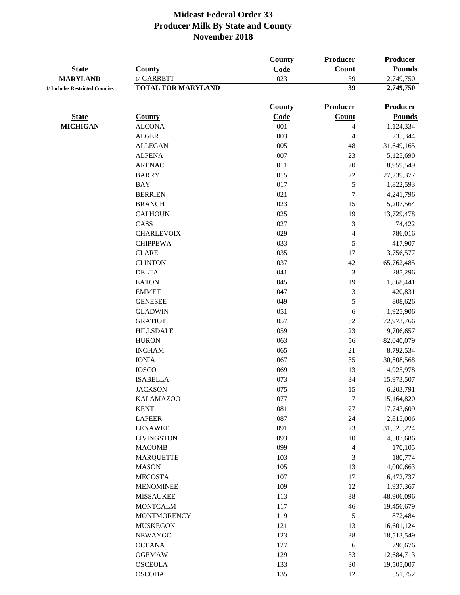|                                 |                           | <b>County</b> | <b>Producer</b>          | Producer      |
|---------------------------------|---------------------------|---------------|--------------------------|---------------|
| <b>State</b>                    | <b>County</b>             | Code          | Count                    | <b>Pounds</b> |
| <b>MARYLAND</b>                 | 1/ GARRETT                | 023           | 39                       | 2,749,750     |
| 1/ Includes Restricted Counties | <b>TOTAL FOR MARYLAND</b> |               | 39                       | 2,749,750     |
|                                 |                           | County        | <b>Producer</b>          | Producer      |
| <b>State</b>                    | <b>County</b>             | Code          | Count                    | <b>Pounds</b> |
| <b>MICHIGAN</b>                 | <b>ALCONA</b>             | 001           | $\overline{\mathcal{L}}$ | 1,124,334     |
|                                 | <b>ALGER</b>              | 003           | 4                        | 235,344       |
|                                 | <b>ALLEGAN</b>            | 005           | 48                       | 31,649,165    |
|                                 | <b>ALPENA</b>             | 007           | 23                       | 5,125,690     |
|                                 | <b>ARENAC</b>             | 011           | $20\,$                   | 8,959,549     |
|                                 | <b>BARRY</b>              | 015           | $22\,$                   | 27,239,377    |
|                                 | <b>BAY</b>                | 017           | $\sqrt{5}$               | 1,822,593     |
|                                 | <b>BERRIEN</b>            | 021           | 7                        | 4,241,796     |
|                                 | <b>BRANCH</b>             | 023           | 15                       | 5,207,564     |
|                                 | <b>CALHOUN</b>            | 025           | 19                       | 13,729,478    |
|                                 | CASS                      | 027           | 3                        | 74,422        |
|                                 | <b>CHARLEVOIX</b>         | 029           | 4                        | 786,016       |
|                                 | <b>CHIPPEWA</b>           | 033           | 5                        | 417,907       |
|                                 | <b>CLARE</b>              | 035           | 17                       | 3,756,577     |
|                                 | <b>CLINTON</b>            | 037           | $42\,$                   | 65,762,485    |
|                                 | <b>DELTA</b>              | 041           | $\mathfrak{Z}$           | 285,296       |
|                                 | <b>EATON</b>              | 045           | 19                       | 1,868,441     |
|                                 | <b>EMMET</b>              | 047           | 3                        | 420,831       |
|                                 | <b>GENESEE</b>            | 049           | 5                        | 808,626       |
|                                 | <b>GLADWIN</b>            | 051           | 6                        | 1,925,906     |
|                                 | <b>GRATIOT</b>            | 057           | 32                       | 72,973,766    |
|                                 | <b>HILLSDALE</b>          | 059           | 23                       | 9,706,657     |
|                                 | <b>HURON</b>              | 063           | 56                       | 82,040,079    |
|                                 | <b>INGHAM</b>             | 065           | 21                       | 8,792,534     |
|                                 | <b>IONIA</b>              | 067           | 35                       | 30,808,568    |
|                                 | <b>IOSCO</b>              | 069           | 13                       | 4,925,978     |
|                                 | <b>ISABELLA</b>           | 073           | 34                       | 15,973,507    |
|                                 | <b>JACKSON</b>            | 075           | 15                       | 6,203,791     |
|                                 | <b>KALAMAZOO</b>          | 077           | 7                        | 15,164,820    |
|                                 | <b>KENT</b>               | 081           | $27\,$                   | 17,743,609    |
|                                 | <b>LAPEER</b>             | 087           | 24                       | 2,815,006     |
|                                 | <b>LENAWEE</b>            | 091           | 23                       | 31,525,224    |
|                                 | <b>LIVINGSTON</b>         | 093           | 10                       | 4,507,686     |
|                                 | <b>MACOMB</b>             | 099           | 4                        | 170,105       |
|                                 | <b>MARQUETTE</b>          | 103           | 3                        | 180,774       |
|                                 | <b>MASON</b>              | 105           | 13                       | 4,000,663     |
|                                 | <b>MECOSTA</b>            | 107           | $17\,$                   | 6,472,737     |
|                                 | <b>MENOMINEE</b>          | 109           | 12                       | 1,937,367     |
|                                 | <b>MISSAUKEE</b>          | 113           | 38                       | 48,906,096    |
|                                 | <b>MONTCALM</b>           | 117           | $46\,$                   | 19,456,679    |
|                                 | <b>MONTMORENCY</b>        | 119           | $\sqrt{5}$               | 872,484       |
|                                 | <b>MUSKEGON</b>           | 121           | 13                       | 16,601,124    |
|                                 | <b>NEWAYGO</b>            | 123           | 38                       | 18,513,549    |
|                                 | <b>OCEANA</b>             | 127           | 6                        | 790,676       |
|                                 | <b>OGEMAW</b>             | 129           | 33                       | 12,684,713    |
|                                 | <b>OSCEOLA</b>            | 133           | 30                       | 19,505,007    |
|                                 | <b>OSCODA</b>             | 135           | 12                       | 551,752       |
|                                 |                           |               |                          |               |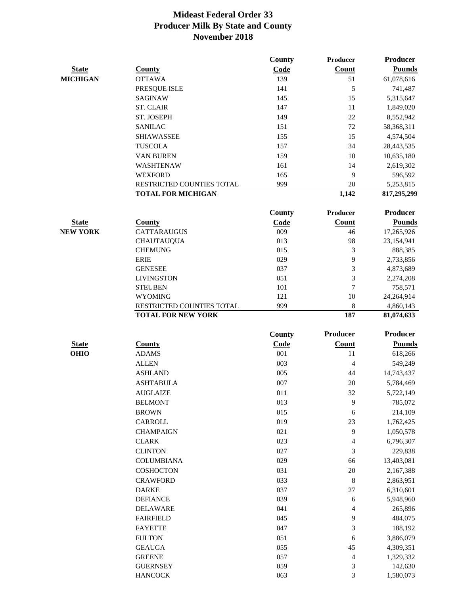|                 |                           | <b>County</b> | Producer        | <b>Producer</b> |
|-----------------|---------------------------|---------------|-----------------|-----------------|
| <b>State</b>    | <b>County</b>             | Code          | Count           | <b>Pounds</b>   |
| <b>MICHIGAN</b> | <b>OTTAWA</b>             | 139           | 51              | 61,078,616      |
|                 | PRESQUE ISLE              | 141           | 5               | 741,487         |
|                 | <b>SAGINAW</b>            | 145           | 15              | 5,315,647       |
|                 | <b>ST. CLAIR</b>          | 147           | 11              | 1,849,020       |
|                 | ST. JOSEPH                | 149           | 22              | 8,552,942       |
|                 | <b>SANILAC</b>            | 151           | 72              | 58,368,311      |
|                 | <b>SHIAWASSEE</b>         | 155           | 15              | 4,574,504       |
|                 | <b>TUSCOLA</b>            | 157           | 34              | 28,443,535      |
|                 | <b>VAN BUREN</b>          | 159           | 10              | 10,635,180      |
|                 | WASHTENAW                 | 161           | 14              | 2,619,302       |
|                 | <b>WEXFORD</b>            | 165           | 9               | 596,592         |
|                 | RESTRICTED COUNTIES TOTAL | 999           | 20              | 5,253,815       |
|                 | <b>TOTAL FOR MICHIGAN</b> |               | 1,142           | 817,295,299     |
|                 |                           |               |                 |                 |
|                 |                           | <b>County</b> | <b>Producer</b> | <b>Producer</b> |
| <b>State</b>    | <b>County</b>             | Code          | Count           | <b>Pounds</b>   |
| <b>NEW YORK</b> | <b>CATTARAUGUS</b>        | 009           | 46              | 17,265,926      |
|                 | <b>CHAUTAUQUA</b>         | 013           | 98              | 23,154,941      |
|                 | <b>CHEMUNG</b>            | 015           | 3               | 888,385         |
|                 | <b>ERIE</b>               | 029           | 9               | 2,733,856       |
|                 | <b>GENESEE</b>            | 037           | 3               | 4,873,689       |
|                 | <b>LIVINGSTON</b>         | 051           | 3               | 2,274,208       |
|                 | <b>STEUBEN</b>            | 101           | $\tau$          | 758,571         |
|                 | <b>WYOMING</b>            | 121           | 10              | 24,264,914      |
|                 | RESTRICTED COUNTIES TOTAL | 999           | 8               | 4,860,143       |
|                 | <b>TOTAL FOR NEW YORK</b> |               | 187             | 81,074,633      |
|                 |                           | <b>County</b> | Producer        | <b>Producer</b> |
| <b>State</b>    | <b>County</b>             | Code          | Count           | <b>Pounds</b>   |
| <b>OHIO</b>     | <b>ADAMS</b>              | 001           | 11              | 618,266         |
|                 | <b>ALLEN</b>              | 003           | $\overline{4}$  | 549,249         |
|                 | <b>ASHLAND</b>            | 005           | 44              | 14,743,437      |
|                 | <b>ASHTABULA</b>          | 007           | 20              | 5,784,469       |
|                 | <b>AUGLAIZE</b>           | 011           | 32              | 5,722,149       |
|                 | <b>BELMONT</b>            | 013           | 9               | 785,072         |
|                 | <b>BROWN</b>              | 015           | 6               | 214,109         |
|                 | CARROLL                   | 019           | 23              | 1,762,425       |
|                 | <b>CHAMPAIGN</b>          | 021           | 9               | 1,050,578       |
|                 | <b>CLARK</b>              | 023           | 4               | 6,796,307       |
|                 | <b>CLINTON</b>            | 027           | 3               | 229,838         |
|                 | <b>COLUMBIANA</b>         | 029           | 66              | 13,403,081      |
|                 | <b>COSHOCTON</b>          | 031           | $20\,$          | 2,167,388       |
|                 | <b>CRAWFORD</b>           | 033           | $\,8\,$         | 2,863,951       |
|                 | <b>DARKE</b>              | 037           | $27\,$          | 6,310,601       |
|                 | <b>DEFIANCE</b>           | 039           | 6               | 5,948,960       |
|                 | <b>DELAWARE</b>           | 041           | 4               | 265,896         |
|                 | <b>FAIRFIELD</b>          | 045           | 9               | 484,075         |
|                 | <b>FAYETTE</b>            | 047           | 3               | 188,192         |
|                 | <b>FULTON</b>             | 051           | 6               | 3,886,079       |
|                 | <b>GEAUGA</b>             | 055           | 45              | 4,309,351       |
|                 |                           |               |                 |                 |

GREENE 057 4 1,329,332 GUERNSEY 059 3 142,630 HANCOCK 063 3 1,580,073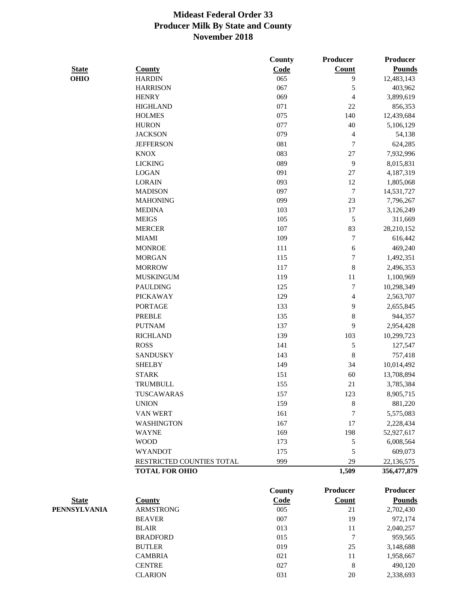|              |                           | County | <b>Producer</b>          | <b>Producer</b> |
|--------------|---------------------------|--------|--------------------------|-----------------|
| <b>State</b> | <b>County</b>             | Code   | Count                    | <b>Pounds</b>   |
| <b>OHIO</b>  | <b>HARDIN</b>             | 065    | 9                        | 12,483,143      |
|              | <b>HARRISON</b>           | 067    | 5                        | 403,962         |
|              | <b>HENRY</b>              | 069    | $\overline{\mathcal{L}}$ | 3,899,619       |
|              | <b>HIGHLAND</b>           | 071    | $22\,$                   | 856,353         |
|              | <b>HOLMES</b>             | 075    | 140                      | 12,439,684      |
|              | <b>HURON</b>              | 077    | 40                       | 5,106,129       |
|              | <b>JACKSON</b>            | 079    | 4                        | 54,138          |
|              | <b>JEFFERSON</b>          | 081    | $\boldsymbol{7}$         | 624,285         |
|              | <b>KNOX</b>               | 083    | 27                       | 7,932,996       |
|              | <b>LICKING</b>            | 089    | 9                        | 8,015,831       |
|              | <b>LOGAN</b>              | 091    | $27\,$                   | 4,187,319       |
|              | <b>LORAIN</b>             | 093    | 12                       | 1,805,068       |
|              | <b>MADISON</b>            | 097    | $\sqrt{ }$               | 14,531,727      |
|              | <b>MAHONING</b>           | 099    | 23                       | 7,796,267       |
|              | <b>MEDINA</b>             | 103    | $17\,$                   | 3,126,249       |
|              | <b>MEIGS</b>              | 105    | 5                        | 311,669         |
|              | <b>MERCER</b>             | 107    | 83                       | 28,210,152      |
|              | <b>MIAMI</b>              | 109    | $\tau$                   | 616,442         |
|              | <b>MONROE</b>             | 111    | 6                        | 469,240         |
|              | <b>MORGAN</b>             | 115    | $\boldsymbol{7}$         | 1,492,351       |
|              | <b>MORROW</b>             | 117    | 8                        | 2,496,353       |
|              | <b>MUSKINGUM</b>          | 119    | 11                       | 1,100,969       |
|              | <b>PAULDING</b>           | 125    | $\tau$                   | 10,298,349      |
|              | <b>PICKAWAY</b>           | 129    | $\overline{\mathcal{L}}$ | 2,563,707       |
|              | <b>PORTAGE</b>            | 133    | 9                        | 2,655,845       |
|              | <b>PREBLE</b>             | 135    | 8                        | 944,357         |
|              | <b>PUTNAM</b>             | 137    | 9                        | 2,954,428       |
|              | <b>RICHLAND</b>           | 139    | 103                      | 10,299,723      |
|              | <b>ROSS</b>               | 141    | 5                        | 127,547         |
|              | <b>SANDUSKY</b>           | 143    | 8                        | 757,418         |
|              | <b>SHELBY</b>             | 149    | 34                       | 10,014,492      |
|              | <b>STARK</b>              | 151    | 60                       | 13,708,894      |
|              | TRUMBULL                  | 155    | 21                       | 3,785,384       |
|              | TUSCAWARAS                | 157    | 123                      | 8,905,715       |
|              | <b>UNION</b>              | 159    | 8                        | 881,220         |
|              | VAN WERT                  | 161    | 7                        | 5,575,083       |
|              | <b>WASHINGTON</b>         | 167    | 17                       | 2,228,434       |
|              | <b>WAYNE</b>              | 169    | 198                      | 52,927,617      |
|              | <b>WOOD</b>               | 173    | 5                        | 6,008,564       |
|              | <b>WYANDOT</b>            | 175    | 5                        | 609,073         |
|              | RESTRICTED COUNTIES TOTAL | 999    | 29                       | 22,136,575      |
|              | <b>TOTAL FOR OHIO</b>     |        | 1,509                    | 356,477,879     |
|              |                           | County | <b>Producer</b>          | <b>Producer</b> |
| <b>State</b> | <b>County</b>             | Code   | <b>Count</b>             | <b>Pounds</b>   |
| PENNSYLVANIA | <b>ARMSTRONG</b>          | 005    | 21                       | 2,702,430       |
|              | <b>REAVER</b>             | 007    | 1 <sub>Q</sub>           | 972 174         |

| <b>ARMSTRONG</b> | 005 | 21 | 2,702,430 |
|------------------|-----|----|-----------|
| <b>BEAVER</b>    | 007 | 19 | 972,174   |
| <b>BLAIR</b>     | 013 | 11 | 2,040,257 |
| <b>BRADFORD</b>  | 015 | 7  | 959,565   |
| <b>BUTLER</b>    | 019 | 25 | 3,148,688 |
| <b>CAMBRIA</b>   | 021 | 11 | 1,958,667 |
| <b>CENTRE</b>    | 027 | 8  | 490.120   |
| <b>CLARION</b>   | 031 | 20 | 2,338,693 |
|                  |     |    |           |